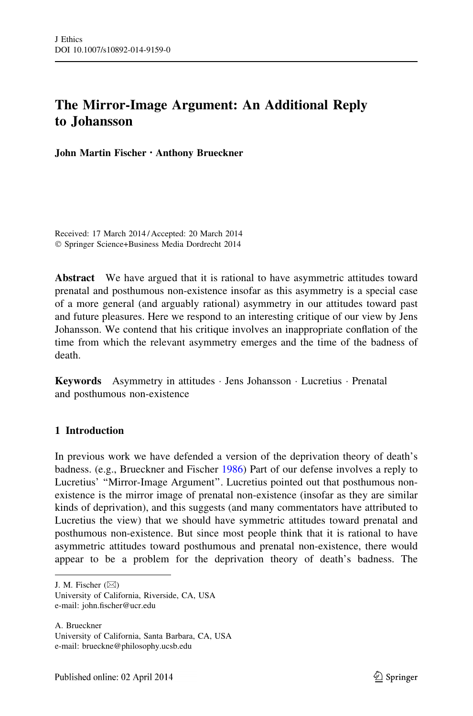# The Mirror-Image Argument: An Additional Reply to Johansson

John Martin Fischer • Anthony Brueckner

Received: 17 March 2014 / Accepted: 20 March 2014 - Springer Science+Business Media Dordrecht 2014

Abstract We have argued that it is rational to have asymmetric attitudes toward prenatal and posthumous non-existence insofar as this asymmetry is a special case of a more general (and arguably rational) asymmetry in our attitudes toward past and future pleasures. Here we respond to an interesting critique of our view by Jens Johansson. We contend that his critique involves an inappropriate conflation of the time from which the relevant asymmetry emerges and the time of the badness of death.

Keywords Asymmetry in attitudes · Jens Johansson · Lucretius · Prenatal and posthumous non-existence

## 1 Introduction

In previous work we have defended a version of the deprivation theory of death's badness. (e.g., Brueckner and Fischer [1986\)](#page-5-0) Part of our defense involves a reply to Lucretius' ''Mirror-Image Argument''. Lucretius pointed out that posthumous nonexistence is the mirror image of prenatal non-existence (insofar as they are similar kinds of deprivation), and this suggests (and many commentators have attributed to Lucretius the view) that we should have symmetric attitudes toward prenatal and posthumous non-existence. But since most people think that it is rational to have asymmetric attitudes toward posthumous and prenatal non-existence, there would appear to be a problem for the deprivation theory of death's badness. The

J. M. Fischer  $(\boxtimes)$ 

University of California, Riverside, CA, USA e-mail: john.fischer@ucr.edu

A. Brueckner University of California, Santa Barbara, CA, USA e-mail: brueckne@philosophy.ucsb.edu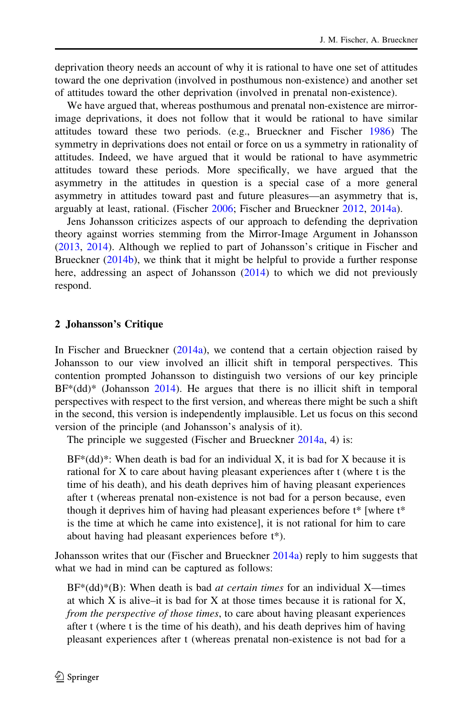deprivation theory needs an account of why it is rational to have one set of attitudes toward the one deprivation (involved in posthumous non-existence) and another set of attitudes toward the other deprivation (involved in prenatal non-existence).

We have argued that, whereas posthumous and prenatal non-existence are mirrorimage deprivations, it does not follow that it would be rational to have similar attitudes toward these two periods. (e.g., Brueckner and Fischer [1986](#page-5-0)) The symmetry in deprivations does not entail or force on us a symmetry in rationality of attitudes. Indeed, we have argued that it would be rational to have asymmetric attitudes toward these periods. More specifically, we have argued that the asymmetry in the attitudes in question is a special case of a more general asymmetry in attitudes toward past and future pleasures—an asymmetry that is, arguably at least, rational. (Fischer [2006;](#page-5-0) Fischer and Brueckner [2012](#page-5-0), [2014a\)](#page-5-0).

Jens Johansson criticizes aspects of our approach to defending the deprivation theory against worries stemming from the Mirror-Image Argument in Johansson [\(2013](#page-5-0), [2014\)](#page-5-0). Although we replied to part of Johansson's critique in Fischer and Brueckner [\(2014b](#page-5-0)), we think that it might be helpful to provide a further response here, addressing an aspect of Johansson  $(2014)$  to which we did not previously respond.

#### 2 Johansson's Critique

In Fischer and Brueckner [\(2014a\)](#page-5-0), we contend that a certain objection raised by Johansson to our view involved an illicit shift in temporal perspectives. This contention prompted Johansson to distinguish two versions of our key principle  $BF^*(dd)^*$  (Johansson [2014](#page-5-0)). He argues that there is no illicit shift in temporal perspectives with respect to the first version, and whereas there might be such a shift in the second, this version is independently implausible. Let us focus on this second version of the principle (and Johansson's analysis of it).

The principle we suggested (Fischer and Brueckner [2014a](#page-5-0), 4) is:

 $BF*(dd)^*$ : When death is bad for an individual X, it is bad for X because it is rational for X to care about having pleasant experiences after t (where t is the time of his death), and his death deprives him of having pleasant experiences after t (whereas prenatal non-existence is not bad for a person because, even though it deprives him of having had pleasant experiences before t\* [where t\* is the time at which he came into existence], it is not rational for him to care about having had pleasant experiences before t\*).

Johansson writes that our (Fischer and Brueckner [2014a\)](#page-5-0) reply to him suggests that what we had in mind can be captured as follows:

 $BF^*(dd)^*(B)$ : When death is bad *at certain times* for an individual X—times at which X is alive–it is bad for X at those times because it is rational for X, from the perspective of those times, to care about having pleasant experiences after t (where t is the time of his death), and his death deprives him of having pleasant experiences after t (whereas prenatal non-existence is not bad for a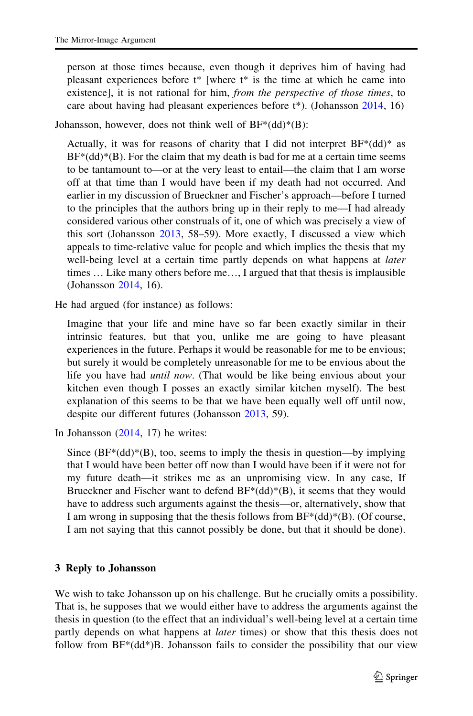person at those times because, even though it deprives him of having had pleasant experiences before t\* [where t\* is the time at which he came into existence], it is not rational for him, from the perspective of those times, to care about having had pleasant experiences before t\*). (Johansson [2014,](#page-5-0) 16)

Johansson, however, does not think well of  $BF^*(dd)^*(B)$ :

Actually, it was for reasons of charity that I did not interpret  $BF^*(dd)^*$  as  $BF*(dd)*(B)$ . For the claim that my death is bad for me at a certain time seems to be tantamount to—or at the very least to entail—the claim that I am worse off at that time than I would have been if my death had not occurred. And earlier in my discussion of Brueckner and Fischer's approach—before I turned to the principles that the authors bring up in their reply to me—I had already considered various other construals of it, one of which was precisely a view of this sort (Johansson [2013](#page-5-0), 58–59). More exactly, I discussed a view which appeals to time-relative value for people and which implies the thesis that my well-being level at a certain time partly depends on what happens at *later* times … Like many others before me…, I argued that that thesis is implausible (Johansson [2014,](#page-5-0) 16).

He had argued (for instance) as follows:

Imagine that your life and mine have so far been exactly similar in their intrinsic features, but that you, unlike me are going to have pleasant experiences in the future. Perhaps it would be reasonable for me to be envious; but surely it would be completely unreasonable for me to be envious about the life you have had until now. (That would be like being envious about your kitchen even though I posses an exactly similar kitchen myself). The best explanation of this seems to be that we have been equally well off until now, despite our different futures (Johansson [2013](#page-5-0), 59).

In Johansson  $(2014, 17)$  $(2014, 17)$  he writes:

Since  $(BF^*(dd)^*(B))$ , too, seems to imply the thesis in question—by implying that I would have been better off now than I would have been if it were not for my future death—it strikes me as an unpromising view. In any case, If Brueckner and Fischer want to defend  $BF*(dd)*(B)$ , it seems that they would have to address such arguments against the thesis—or, alternatively, show that I am wrong in supposing that the thesis follows from  $BF^*(dd)^*(B)$ . (Of course, I am not saying that this cannot possibly be done, but that it should be done).

## 3 Reply to Johansson

We wish to take Johansson up on his challenge. But he crucially omits a possibility. That is, he supposes that we would either have to address the arguments against the thesis in question (to the effect that an individual's well-being level at a certain time partly depends on what happens at *later* times) or show that this thesis does not follow from BF\*(dd\*)B. Johansson fails to consider the possibility that our view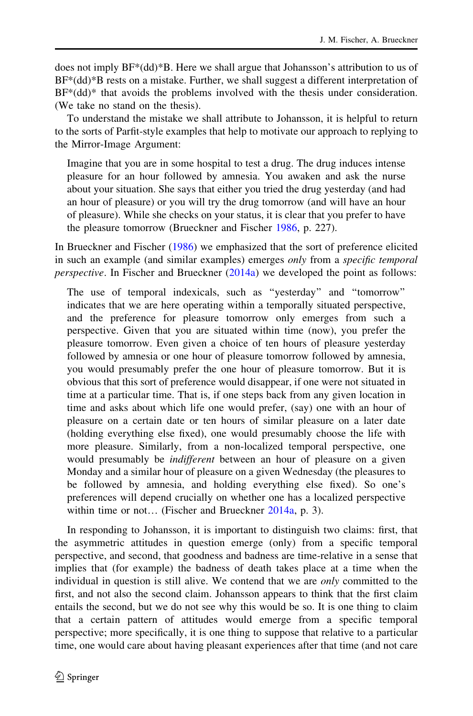does not imply BF\*(dd)\*B. Here we shall argue that Johansson's attribution to us of BF\*(dd)\*B rests on a mistake. Further, we shall suggest a different interpretation of BF\*(dd)\* that avoids the problems involved with the thesis under consideration. (We take no stand on the thesis).

To understand the mistake we shall attribute to Johansson, it is helpful to return to the sorts of Parfit-style examples that help to motivate our approach to replying to the Mirror-Image Argument:

Imagine that you are in some hospital to test a drug. The drug induces intense pleasure for an hour followed by amnesia. You awaken and ask the nurse about your situation. She says that either you tried the drug yesterday (and had an hour of pleasure) or you will try the drug tomorrow (and will have an hour of pleasure). While she checks on your status, it is clear that you prefer to have the pleasure tomorrow (Brueckner and Fischer [1986](#page-5-0), p. 227).

In Brueckner and Fischer [\(1986\)](#page-5-0) we emphasized that the sort of preference elicited in such an example (and similar examples) emerges *only* from a *specific temporal* perspective. In Fischer and Brueckner ([2014a](#page-5-0)) we developed the point as follows:

The use of temporal indexicals, such as ''yesterday'' and ''tomorrow'' indicates that we are here operating within a temporally situated perspective, and the preference for pleasure tomorrow only emerges from such a perspective. Given that you are situated within time (now), you prefer the pleasure tomorrow. Even given a choice of ten hours of pleasure yesterday followed by amnesia or one hour of pleasure tomorrow followed by amnesia, you would presumably prefer the one hour of pleasure tomorrow. But it is obvious that this sort of preference would disappear, if one were not situated in time at a particular time. That is, if one steps back from any given location in time and asks about which life one would prefer, (say) one with an hour of pleasure on a certain date or ten hours of similar pleasure on a later date (holding everything else fixed), one would presumably choose the life with more pleasure. Similarly, from a non-localized temporal perspective, one would presumably be indifferent between an hour of pleasure on a given Monday and a similar hour of pleasure on a given Wednesday (the pleasures to be followed by amnesia, and holding everything else fixed). So one's preferences will depend crucially on whether one has a localized perspective within time or not... (Fischer and Brueckner [2014a](#page-5-0), p. 3).

In responding to Johansson, it is important to distinguish two claims: first, that the asymmetric attitudes in question emerge (only) from a specific temporal perspective, and second, that goodness and badness are time-relative in a sense that implies that (for example) the badness of death takes place at a time when the individual in question is still alive. We contend that we are only committed to the first, and not also the second claim. Johansson appears to think that the first claim entails the second, but we do not see why this would be so. It is one thing to claim that a certain pattern of attitudes would emerge from a specific temporal perspective; more specifically, it is one thing to suppose that relative to a particular time, one would care about having pleasant experiences after that time (and not care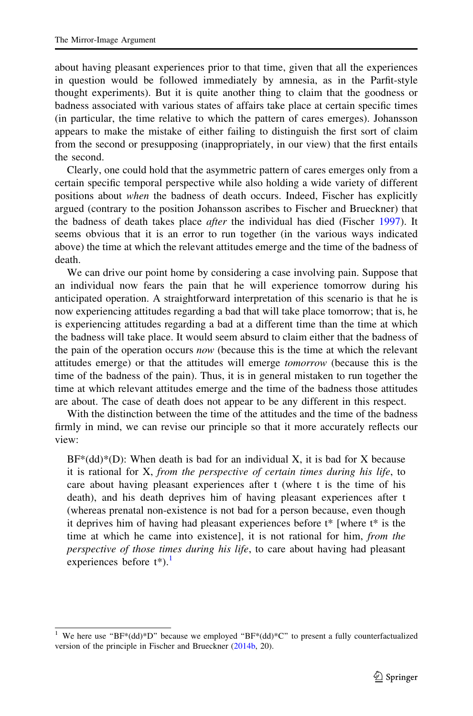about having pleasant experiences prior to that time, given that all the experiences in question would be followed immediately by amnesia, as in the Parfit-style thought experiments). But it is quite another thing to claim that the goodness or badness associated with various states of affairs take place at certain specific times (in particular, the time relative to which the pattern of cares emerges). Johansson appears to make the mistake of either failing to distinguish the first sort of claim from the second or presupposing (inappropriately, in our view) that the first entails the second.

Clearly, one could hold that the asymmetric pattern of cares emerges only from a certain specific temporal perspective while also holding a wide variety of different positions about when the badness of death occurs. Indeed, Fischer has explicitly argued (contrary to the position Johansson ascribes to Fischer and Brueckner) that the badness of death takes place *after* the individual has died (Fischer [1997](#page-5-0)). It seems obvious that it is an error to run together (in the various ways indicated above) the time at which the relevant attitudes emerge and the time of the badness of death.

We can drive our point home by considering a case involving pain. Suppose that an individual now fears the pain that he will experience tomorrow during his anticipated operation. A straightforward interpretation of this scenario is that he is now experiencing attitudes regarding a bad that will take place tomorrow; that is, he is experiencing attitudes regarding a bad at a different time than the time at which the badness will take place. It would seem absurd to claim either that the badness of the pain of the operation occurs now (because this is the time at which the relevant attitudes emerge) or that the attitudes will emerge tomorrow (because this is the time of the badness of the pain). Thus, it is in general mistaken to run together the time at which relevant attitudes emerge and the time of the badness those attitudes are about. The case of death does not appear to be any different in this respect.

With the distinction between the time of the attitudes and the time of the badness firmly in mind, we can revise our principle so that it more accurately reflects our view:

 $BF^*(dd)^*(D)$ : When death is bad for an individual X, it is bad for X because it is rational for X, from the perspective of certain times during his life, to care about having pleasant experiences after t (where t is the time of his death), and his death deprives him of having pleasant experiences after t (whereas prenatal non-existence is not bad for a person because, even though it deprives him of having had pleasant experiences before t\* [where t\* is the time at which he came into existence], it is not rational for him, from the perspective of those times during his life, to care about having had pleasant experiences before  $t^*$ ).

<sup>&</sup>lt;sup>1</sup> We here use "BF\*(dd)\*D" because we employed "BF\*(dd)\*C" to present a fully counterfactualized version of the principle in Fischer and Brueckner [\(2014b](#page-5-0), 20).